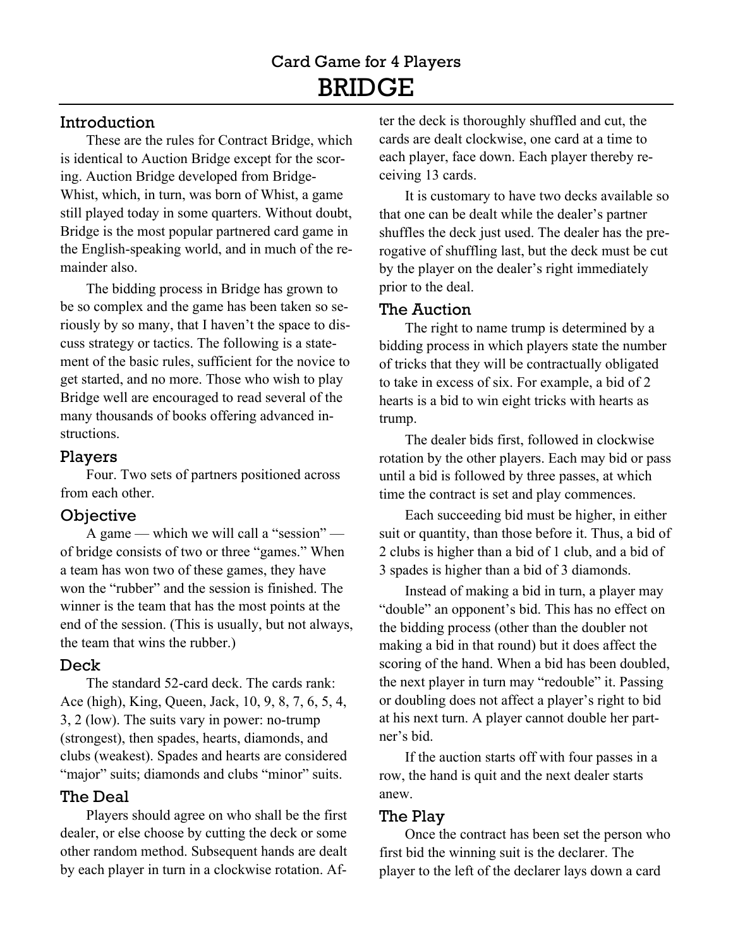## Introduction

These are the rules for Contract Bridge, which is identical to Auction Bridge except for the scoring. Auction Bridge developed from Bridge-Whist, which, in turn, was born of Whist, a game still played today in some quarters. Without doubt, Bridge is the most popular partnered card game in the English-speaking world, and in much of the remainder also.

The bidding process in Bridge has grown to be so complex and the game has been taken so seriously by so many, that I haven't the space to discuss strategy or tactics. The following is a statement of the basic rules, sufficient for the novice to get started, and no more. Those who wish to play Bridge well are encouraged to read several of the many thousands of books offering advanced instructions.

#### Players

Four. Two sets of partners positioned across from each other.

## **Objective**

A game — which we will call a "session" of bridge consists of two or three "games." When a team has won two of these games, they have won the "rubber" and the session is finished. The winner is the team that has the most points at the end of the session. (This is usually, but not always, the team that wins the rubber.)

# Deck

The standard 52-card deck. The cards rank: Ace (high), King, Queen, Jack, 10, 9, 8, 7, 6, 5, 4, 3, 2 (low). The suits vary in power: no-trump (strongest), then spades, hearts, diamonds, and clubs (weakest). Spades and hearts are considered "major" suits; diamonds and clubs "minor" suits.

# The Deal

Players should agree on who shall be the first dealer, or else choose by cutting the deck or some other random method. Subsequent hands are dealt by each player in turn in a clockwise rotation. After the deck is thoroughly shuffled and cut, the cards are dealt clockwise, one card at a time to each player, face down. Each player thereby receiving 13 cards.

It is customary to have two decks available so that one can be dealt while the dealer's partner shuffles the deck just used. The dealer has the prerogative of shuffling last, but the deck must be cut by the player on the dealer's right immediately prior to the deal.

# The Auction

The right to name trump is determined by a bidding process in which players state the number of tricks that they will be contractually obligated to take in excess of six. For example, a bid of 2 hearts is a bid to win eight tricks with hearts as trump.

The dealer bids first, followed in clockwise rotation by the other players. Each may bid or pass until a bid is followed by three passes, at which time the contract is set and play commences.

Each succeeding bid must be higher, in either suit or quantity, than those before it. Thus, a bid of 2 clubs is higher than a bid of 1 club, and a bid of 3 spades is higher than a bid of 3 diamonds.

Instead of making a bid in turn, a player may "double" an opponent's bid. This has no effect on the bidding process (other than the doubler not making a bid in that round) but it does affect the scoring of the hand. When a bid has been doubled, the next player in turn may "redouble" it. Passing or doubling does not affect a player's right to bid at his next turn. A player cannot double her partner's bid.

If the auction starts off with four passes in a row, the hand is quit and the next dealer starts anew.

## The Play

Once the contract has been set the person who first bid the winning suit is the declarer. The player to the left of the declarer lays down a card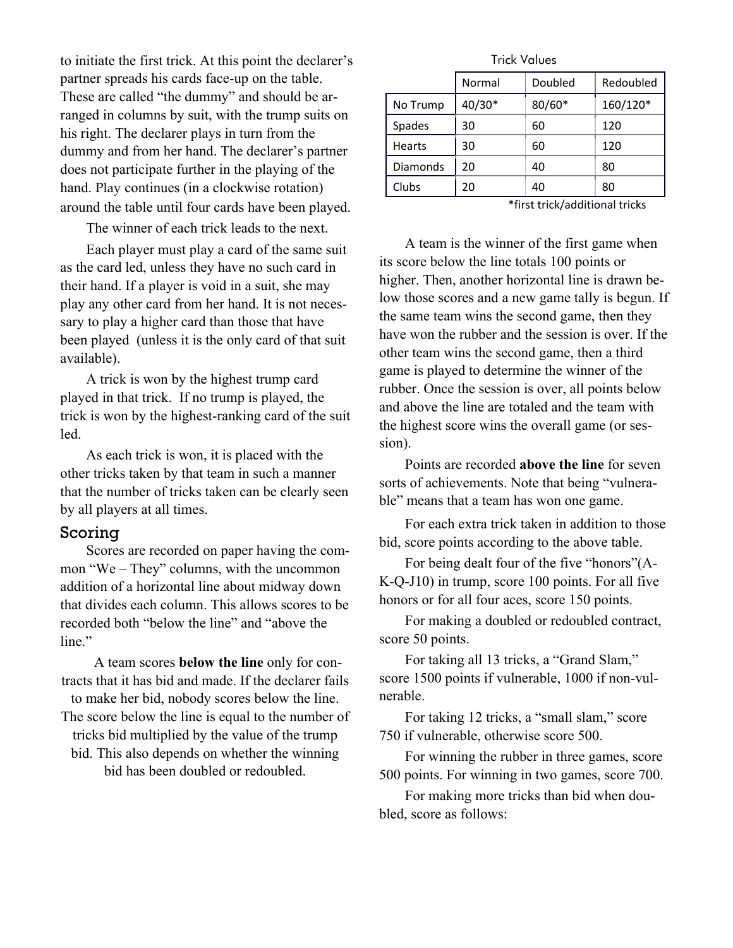to initiate the first trick. At this point the declarer's partner spreads his cards face-up on the table. These are called "the dummy" and should be arranged in columns by suit, with the trump suits on his right. The declarer plays in turn from the dummy and from her hand. The declarer's partner does not participate further in the playing of the hand. Play continues (in a clockwise rotation) around the table until four cards have been played.

The winner of each trick leads to the next.

Each player must play a card of the same suit as the card led, unless they have no such card in their hand. If a player is void in a suit, she may play any other card from her hand. It is not necessary to play a higher card than those that have been played (unless it is the only card of that suit available).

A trick is won by the highest trump card played in that trick. If no trump is played, the trick is won by the highest-ranking card of the suit led.

As each trick is won, it is placed with the other tricks taken by that team in such a manner that the number of tricks taken can be clearly seen by all players at all times.

#### Scoring

Scores are recorded on paper having the common "We – They" columns, with the uncommon addition of a horizontal line about midway down that divides each column. This allows scores to be recorded both "below the line" and "above the line."

A team scores **below the line** only for contracts that it has bid and made. If the declarer fails to make her bid, nobody scores below the line. The score below the line is equal to the number of tricks bid multiplied by the value of the trump bid. This also depends on whether the winning bid has been doubled or redoubled.

Trick Values

|          | Normal | Doubled  | Redoubled |
|----------|--------|----------|-----------|
| No Trump | 40/30* | $80/60*$ | 160/120*  |
| Spades   | 30     | 60       | 120       |
| Hearts   | 30     | 60       | 120       |
| Diamonds | 20     | 40       | 80        |
| Clubs    | 20     | 40       | 80        |

\*first trick/additional tricks

A team is the winner of the first game when its score below the line totals 100 points or higher. Then, another horizontal line is drawn below those scores and a new game tally is begun. If the same team wins the second game, then they have won the rubber and the session is over. If the other team wins the second game, then a third game is played to determine the winner of the rubber. Once the session is over, all points below and above the line are totaled and the team with the highest score wins the overall game (or session).

Points are recorded **above the line** for seven sorts of achievements. Note that being "vulnerable" means that a team has won one game.

For each extra trick taken in addition to those bid, score points according to the above table.

For being dealt four of the five "honors"(A-K-Q-J10) in trump, score 100 points. For all five honors or for all four aces, score 150 points.

For making a doubled or redoubled contract, score 50 points.

For taking all 13 tricks, a "Grand Slam," score 1500 points if vulnerable, 1000 if non-vulnerable.

For taking 12 tricks, a "small slam," score 750 if vulnerable, otherwise score 500.

For winning the rubber in three games, score 500 points. For winning in two games, score 700.

For making more tricks than bid when doubled, score as follows: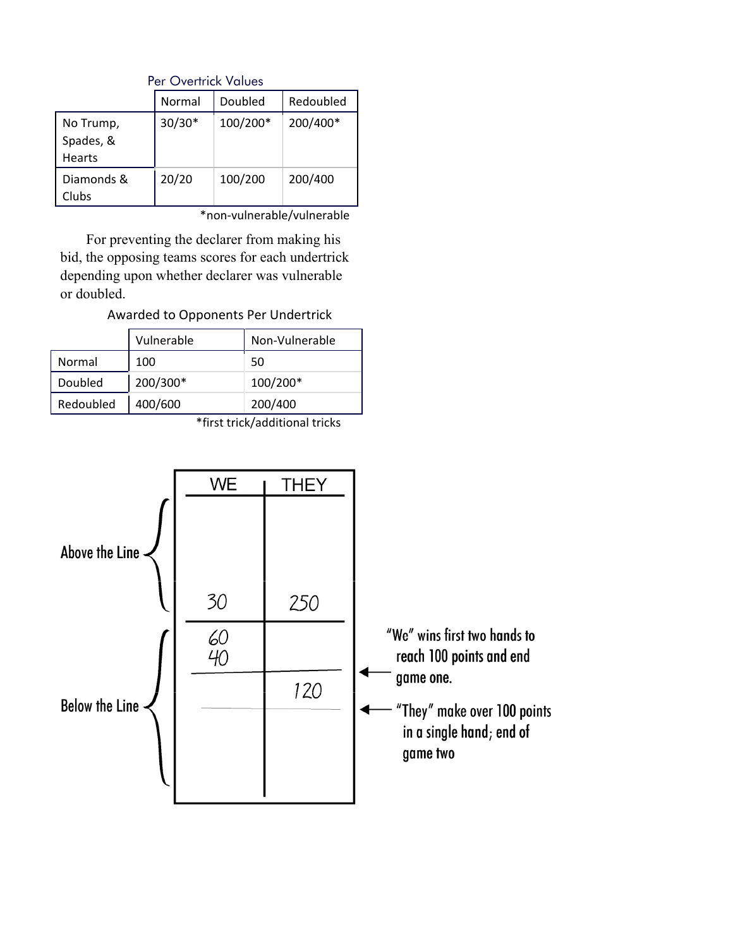|                                         | Normal   | Doubled  | Redoubled |  |  |
|-----------------------------------------|----------|----------|-----------|--|--|
| No Trump,<br>Spades, &<br><b>Hearts</b> | $30/30*$ | 100/200* | 200/400*  |  |  |
| Diamonds &<br>Clubs                     | 20/20    | 100/200  | 200/400   |  |  |

Per Overtrick Values

\*non-vulnerable/vulnerable

For preventing the declarer from making his bid, the opposing teams scores for each undertrick depending upon whether declarer was vulnerable or doubled.

Awarded to Opponents Per Undertrick

|           | Vulnerable | Non-Vulnerable |
|-----------|------------|----------------|
| Normal    | 100        | 50             |
| Doubled   | 200/300*   | 100/200*       |
| Redoubled | 400/600    | 200/400        |

\*first trick/additional tricks